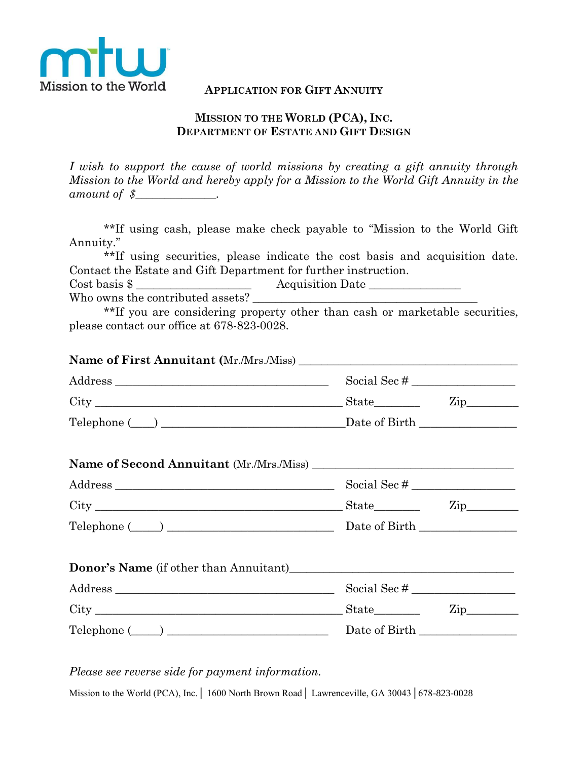

## **APPLICATION FOR GIFT ANNUITY**

## **MISSION TO THE WORLD (PCA), INC. DEPARTMENT OF ESTATE AND GIFT DESIGN**

*I wish to support the cause of world missions by creating a gift annuity through Mission to the World and hereby apply for a Mission to the World Gift Annuity in the amount of \$\_\_\_\_\_\_\_\_\_\_\_\_\_\_.*

\*\*If using cash, please make check payable to "Mission to the World Gift Annuity."

\*\*If using securities, please indicate the cost basis and acquisition date. Contact the Estate and Gift Department for further instruction.

Cost basis \$ \_\_\_\_\_\_\_\_\_\_\_\_\_\_\_\_\_\_\_\_ Acquisition Date \_\_\_\_\_\_\_\_\_\_\_\_\_\_\_\_

Who owns the contributed assets?

\*\*If you are considering property other than cash or marketable securities, please contact our office at 678-823-0028.

| Telephone (Company Company Company Company Company Company Company Company Company Company Company Company Company Company Company Company Company Company Company Company Company Company Company Company Company Company Com |  |
|--------------------------------------------------------------------------------------------------------------------------------------------------------------------------------------------------------------------------------|--|

*Please see reverse side for payment information.*

Mission to the World (PCA), Inc. | 1600 North Brown Road | Lawrenceville, GA 30043 | 678-823-0028